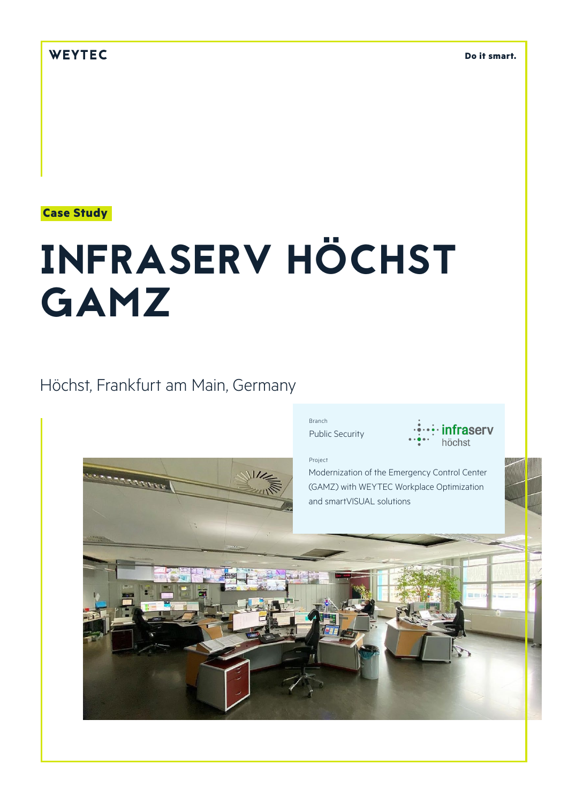# **Case Study**

# INFRASERV HÖCHST GAMZ

# Höchst, Frankfurt am Main, Germany



Project

**infraserv** 

Modernization of the Emergency Control Center (GAMZ) with WEYTEC Workplace Optimization and smartVISUAL solutions

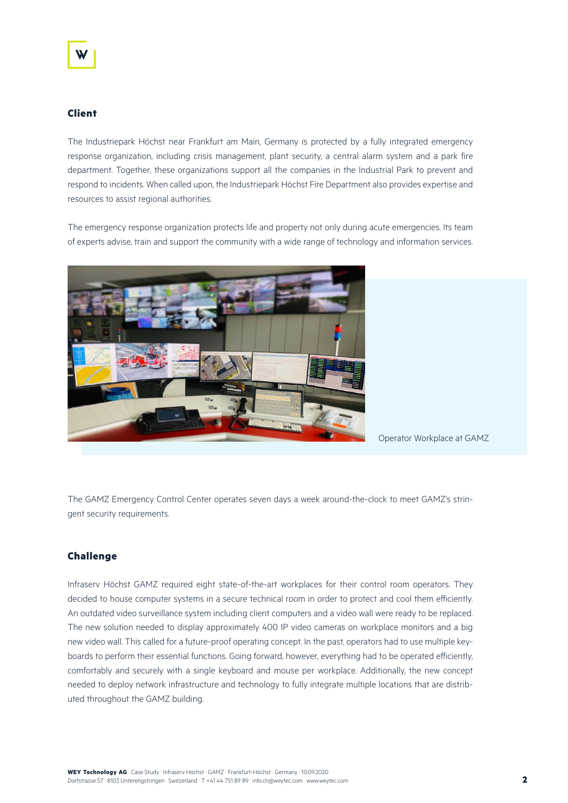# **Client**

The Industriepark Höchst near Frankfurt am Main, Germany is protected by a fully integrated emergency response organization, including crisis management, plant security, a central alarm system and a park fire department. Together, these organizations support all the companies in the Industrial Park to prevent and respond to incidents. When called upon, the Industriepark Höchst Fire Department also provides expertise and resources to assist regional authorities.

The emergency response organization protects life and property not only during acute emergencies. Its team of experts advise, train and support the community with a wide range of technology and information services.



Operator Workplace at GAMZ

The GAMZ Emergency Control Center operates seven days a week around-the-clock to meet GAMZ's stringent security requirements.

# **Challenge**

Infraserv Höchst GAMZ required eight state-of-the-art workplaces for their control room operators. They decided to house computer systems in a secure technical room in order to protect and cool them efficiently. An outdated video surveillance system including client computers and a video wall were ready to be replaced. The new solution needed to display approximately 400 IP video cameras on workplace monitors and a big new video wall. This called for a future-proof operating concept. In the past, operators had to use multiple keyboards to perform their essential functions. Going forward, however, everything had to be operated efficiently, comfortably and securely with a single keyboard and mouse per workplace. Additionally, the new concept needed to deploy network infrastructure and technology to fully integrate multiple locations that are distributed throughout the GAMZ building.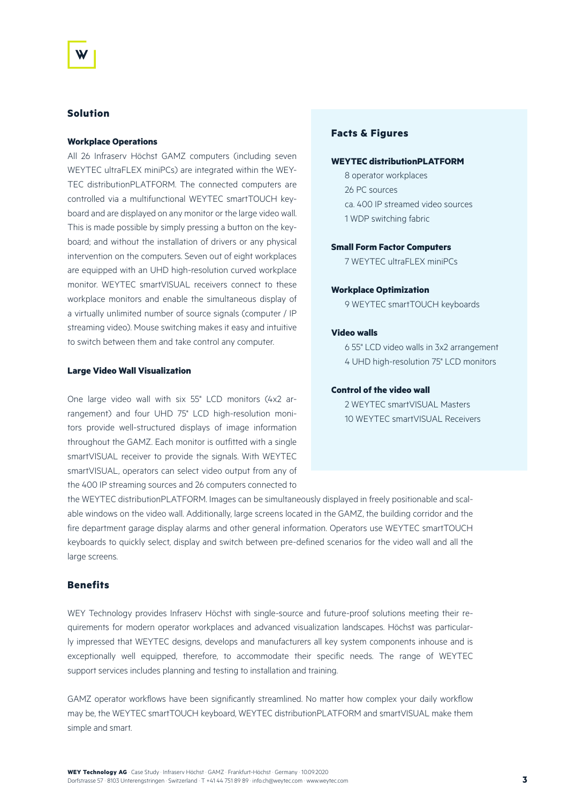### **Solution**

#### **Workplace Operations**

All 26 Infraserv Höchst GAMZ computers (including seven WEYTEC ultraFLEX miniPCs) are integrated within the WEY-TEC distributionPLATFORM. The connected computers are controlled via a multifunctional WEYTEC smartTOUCH keyboard and are displayed on any monitor or the large video wall. This is made possible by simply pressing a button on the keyboard; and without the installation of drivers or any physical intervention on the computers. Seven out of eight workplaces are equipped with an UHD high-resolution curved workplace monitor. WEYTEC smartVISUAL receivers connect to these workplace monitors and enable the simultaneous display of a virtually unlimited number of source signals (computer / IP streaming video). Mouse switching makes it easy and intuitive to switch between them and take control any computer.

#### **Large Video Wall Visualization**

One large video wall with six 55" LCD monitors (4x2 arrangement) and four UHD 75" LCD high-resolution monitors provide well-structured displays of image information throughout the GAMZ. Each monitor is outfitted with a single smartVISUAL receiver to provide the signals. With WEYTEC smartVISUAL, operators can select video output from any of the 400 IP streaming sources and 26 computers connected to

# **Facts & Figures**

#### **WEYTEC distributionPLATFORM**

8 operator workplaces 26 PC sources ca. 400 IP streamed video sources 1 WDP switching fabric

## **Small Form Factor Computers**

7 WEYTEC ultraFLEX miniPCs

#### **Workplace Optimization**

9 WEYTEC smartTOUCH keyboards

#### **Video walls**

6 55" LCD video walls in 3x2 arrangement 4 UHD high-resolution 75" LCD monitors

#### **Control of the video wall**

2 WEYTEC smartVISUAL Masters 10 WEYTEC smartVISUAL Receivers

the WEYTEC distributionPLATFORM. Images can be simultaneously displayed in freely positionable and scalable windows on the video wall. Additionally, large screens located in the GAMZ, the building corridor and the fire department garage display alarms and other general information. Operators use WEYTEC smartTOUCH keyboards to quickly select, display and switch between pre-defined scenarios for the video wall and all the large screens.

# **Benefits**

WEY Technology provides Infraserv Höchst with single-source and future-proof solutions meeting their requirements for modern operator workplaces and advanced visualization landscapes. Höchst was particularly impressed that WEYTEC designs, develops and manufacturers all key system components inhouse and is exceptionally well equipped, therefore, to accommodate their specific needs. The range of WEYTEC support services includes planning and testing to installation and training.

GAMZ operator workflows have been significantly streamlined. No matter how complex your daily workflow may be, the WEYTEC smartTOUCH keyboard, WEYTEC distributionPLATFORM and smartVISUAL make them simple and smart.